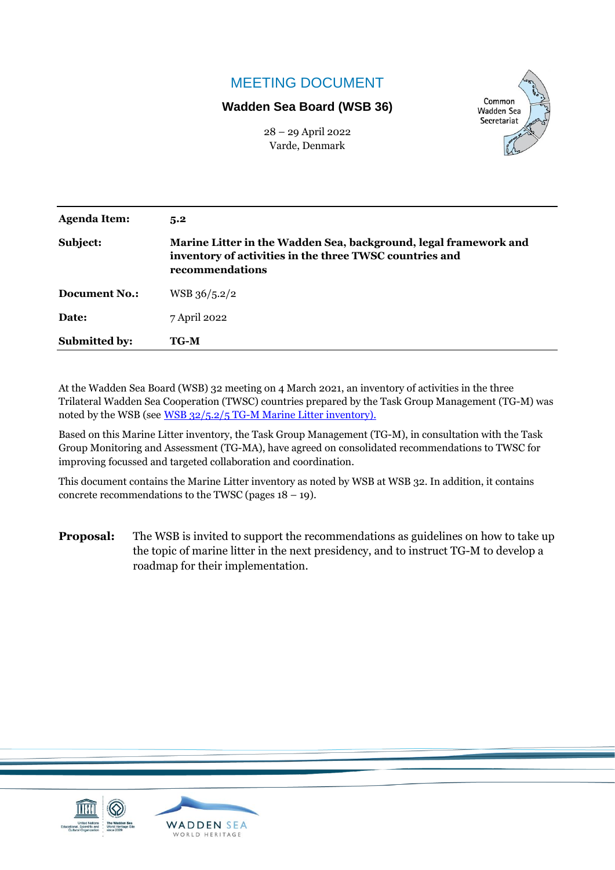# MEETING DOCUMENT

## **Wadden Sea Board (WSB 36)**



28 – 29 April 2022 Varde, Denmark

| <b>Agenda Item:</b>  | 5.2                                                                                                                                            |  |
|----------------------|------------------------------------------------------------------------------------------------------------------------------------------------|--|
| Subject:             | Marine Litter in the Wadden Sea, background, legal framework and<br>inventory of activities in the three TWSC countries and<br>recommendations |  |
| <b>Document No.:</b> | WSB 36/5.2/2                                                                                                                                   |  |
| Date:                | 7 April 2022                                                                                                                                   |  |
| <b>Submitted by:</b> | TG-M                                                                                                                                           |  |

At the Wadden Sea Board (WSB) 32 meeting on 4 March 2021, an inventory of activities in the three Trilateral Wadden Sea Cooperation (TWSC) countries prepared by the Task Group Management (TG-M) was noted by the WSB (see [WSB 32/5.2/5 TG-M Marine Litter inventory\)](https://www.waddensea-worldheritage.org/system/files/WSB-32-5-2-5-tg%20m%20marine%20litter.pdf).

Based on this Marine Litter inventory, the Task Group Management (TG-M), in consultation with the Task Group Monitoring and Assessment (TG-MA), have agreed on consolidated recommendations to TWSC for improving focussed and targeted collaboration and coordination.

This document contains the Marine Litter inventory as noted by WSB at WSB 32. In addition, it contains concrete recommendations to the TWSC (pages  $18 - 19$ ).

**Proposal:** The WSB is invited to support the recommendations as guidelines on how to take up the topic of marine litter in the next presidency, and to instruct TG-M to develop a roadmap for their implementation.

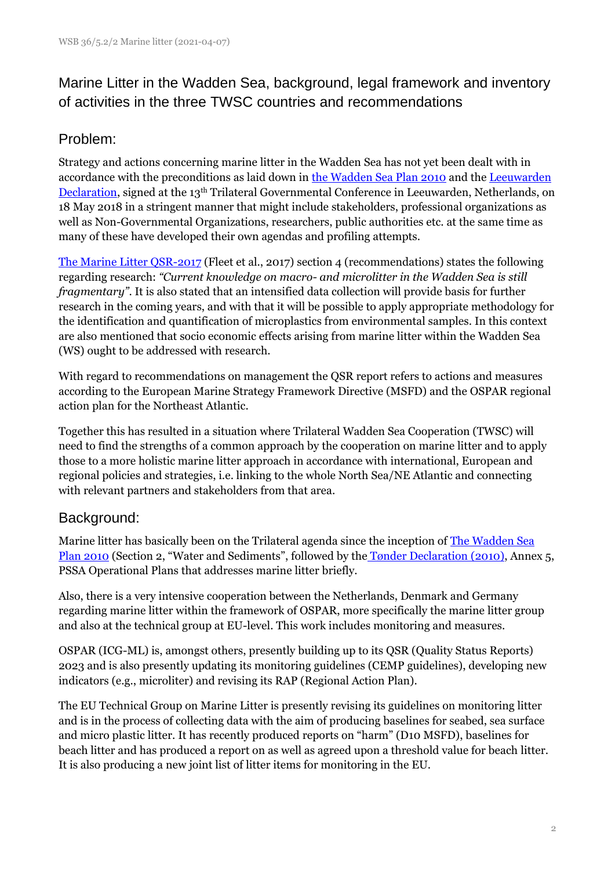Marine Litter in the Wadden Sea, background, legal framework and inventory of activities in the three TWSC countries and recommendations

# Problem:

Strategy and actions concerning marine litter in the Wadden Sea has not yet been dealt with in accordance with the preconditions as laid down in [the Wadden Sea Plan 2010](https://www.waddensea-worldheritage.org/resources/2010-wadden-sea-plan) and the Leeuwarden [Declaration,](https://www.waddensea-worldheritage.org/resources/2018-leeuwarden-declaration) signed at the 13th Trilateral Governmental Conference in Leeuwarden, Netherlands, on 18 May 2018 in a stringent manner that might include stakeholders, professional organizations as well as Non-Governmental Organizations, researchers, public authorities etc. at the same time as many of these have developed their own agendas and profiling attempts.

[The Marine Litter QSR-2017](https://qsr.waddensea-worldheritage.org/reports/marine-litter) (Fleet et al., 2017) section 4 (recommendations) states the following regarding research: *"Current knowledge on macro- and microlitter in the Wadden Sea is still fragmentary"*. It is also stated that an intensified data collection will provide basis for further research in the coming years, and with that it will be possible to apply appropriate methodology for the identification and quantification of microplastics from environmental samples. In this context are also mentioned that socio economic effects arising from marine litter within the Wadden Sea (WS) ought to be addressed with research.

With regard to recommendations on management the QSR report refers to actions and measures according to the European Marine Strategy Framework Directive (MSFD) and the OSPAR regional action plan for the Northeast Atlantic.

Together this has resulted in a situation where Trilateral Wadden Sea Cooperation (TWSC) will need to find the strengths of a common approach by the cooperation on marine litter and to apply those to a more holistic marine litter approach in accordance with international, European and regional policies and strategies, i.e. linking to the whole North Sea/NE Atlantic and connecting with relevant partners and stakeholders from that area.

# Background:

Marine litter has basically been on the Trilateral agenda since the inception of [The Wadden Sea](https://www.waddensea-worldheritage.org/resources/2010-wadden-sea-plan)  [Plan 2010](https://www.waddensea-worldheritage.org/resources/2010-wadden-sea-plan) (Section 2, "Water and Sediments", followed by the [Tønder Declaration](https://www.waddensea-worldheritage.org/resources/2014-t%C3%B8nder-declaration) (2010), Annex 5, PSSA Operational Plans that addresses marine litter briefly.

Also, there is a very intensive cooperation between the Netherlands, Denmark and Germany regarding marine litter within the framework of OSPAR, more specifically the marine litter group and also at the technical group at EU-level. This work includes monitoring and measures.

OSPAR (ICG-ML) is, amongst others, presently building up to its QSR (Quality Status Reports) 2023 and is also presently updating its monitoring guidelines (CEMP guidelines), developing new indicators (e.g., microliter) and revising its RAP (Regional Action Plan).

The EU Technical Group on Marine Litter is presently revising its guidelines on monitoring litter and is in the process of collecting data with the aim of producing baselines for seabed, sea surface and micro plastic litter. It has recently produced reports on "harm" (D10 MSFD), baselines for beach litter and has produced a report on as well as agreed upon a threshold value for beach litter. It is also producing a new joint list of litter items for monitoring in the EU.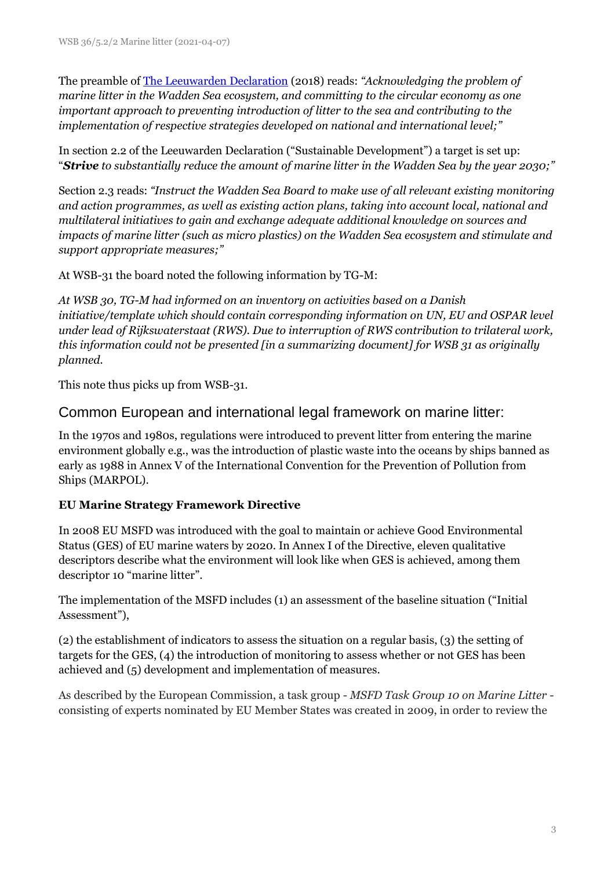The preamble of [The Leeuwarden Declaration](https://www.waddensea-worldheritage.org/resources/2018-leeuwarden-declaration) (2018) reads: *"Acknowledging the problem of marine litter in the Wadden Sea ecosystem, and committing to the circular economy as one important approach to preventing introduction of litter to the sea and contributing to the implementation of respective strategies developed on national and international level;"*

In section 2.2 of the Leeuwarden Declaration ("Sustainable Development") a target is set up: "*Strive to substantially reduce the amount of marine litter in the Wadden Sea by the year 2030;"*

Section 2.3 reads: *"Instruct the Wadden Sea Board to make use of all relevant existing monitoring and action programmes, as well as existing action plans, taking into account local, national and multilateral initiatives to gain and exchange adequate additional knowledge on sources and impacts of marine litter (such as micro plastics) on the Wadden Sea ecosystem and stimulate and support appropriate measures;"*

At WSB-31 the board noted the following information by TG-M:

*At WSB 30, TG-M had informed on an inventory on activities based on a Danish initiative/template which should contain corresponding information on UN, EU and OSPAR level under lead of Rijkswaterstaat (RWS). Due to interruption of RWS contribution to trilateral work, this information could not be presented [in a summarizing document] for WSB 31 as originally planned.* 

This note thus picks up from WSB-31.

## Common European and international legal framework on marine litter:

In the 1970s and 1980s, regulations were introduced to prevent litter from entering the marine environment globally e.g., was the introduction of plastic waste into the oceans by ships banned as early as 1988 in Annex V of the International Convention for the Prevention of Pollution from Ships (MARPOL).

## **EU Marine Strategy Framework Directive**

In 2008 EU MSFD was introduced with the goal to maintain or achieve Good Environmental Status (GES) of EU marine waters by 2020. In Annex I of the Directive, eleven qualitative descriptors describe what the environment will look like when GES is achieved, among them descriptor 10 "marine litter".

The implementation of the MSFD includes (1) an assessment of the baseline situation ("Initial Assessment"),

(2) the establishment of indicators to assess the situation on a regular basis, (3) the setting of targets for the GES, (4) the introduction of monitoring to assess whether or not GES has been achieved and (5) development and implementation of measures.

As described by the European Commission, a task group - *MSFD Task Group 10 on Marine Litter* consisting of experts nominated by EU Member States was created in 2009, in order to review the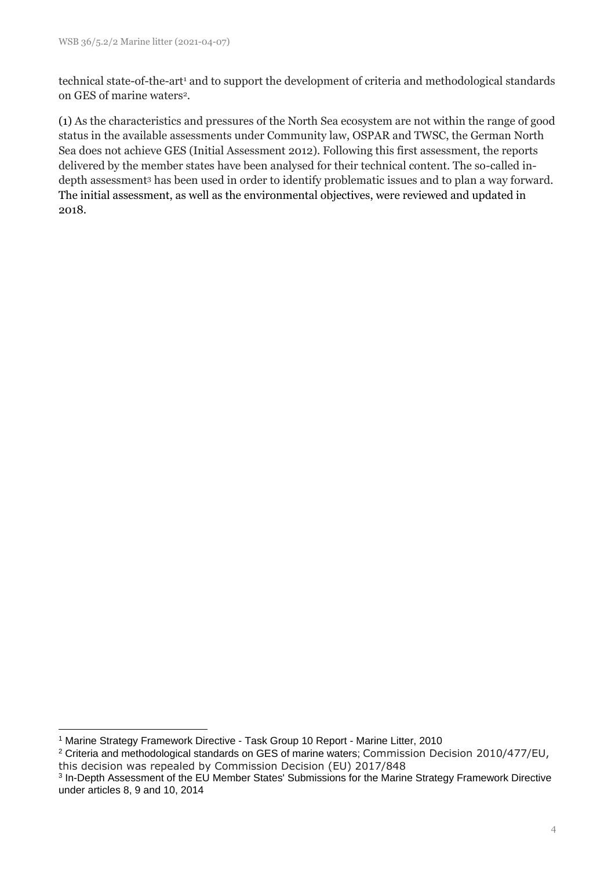technical state-of-the-art<sup>1</sup> and to support the development of criteria and methodological standards on GES of marine waters<sup>2</sup>.

(1) As the characteristics and pressures of the North Sea ecosystem are not within the range of good status in the available assessments under Community law, OSPAR and TWSC, the German North Sea does not achieve GES (Initial Assessment 2012). Following this first assessment, the reports delivered by the member states have been analysed for their technical content. The so-called indepth assessment<sup>3</sup> has been used in order to identify problematic issues and to plan a way forward. The initial assessment, as well as the environmental objectives, were reviewed and updated in 2018.

<sup>1</sup> Marine Strategy Framework Directive - Task Group 10 Report - Marine Litter, 2010

<sup>&</sup>lt;sup>2</sup> Criteria and methodological standards on GES of marine waters; Commission Decision 2010/477/EU, this decision was repealed by Commission Decision (EU) 2017/848

<sup>&</sup>lt;sup>3</sup> In-Depth Assessment of the EU Member States' Submissions for the Marine Strategy Framework Directive under articles 8, 9 and 10, 2014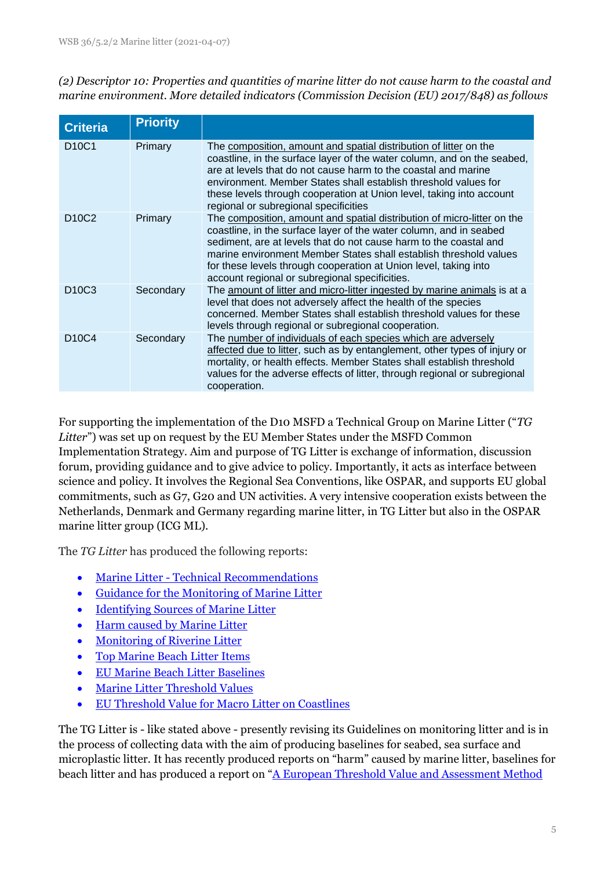*(2) Descriptor 10: Properties and quantities of marine litter do not cause harm to the coastal and marine environment. More detailed indicators (Commission Decision (EU) 2017/848) as follows*

| <b>Criteria</b>                | <b>Priority</b> |                                                                                                                                                                                                                                                                                                                                                                                                                                                                                                                                                                                                                                                                                                                                                                                                                     |
|--------------------------------|-----------------|---------------------------------------------------------------------------------------------------------------------------------------------------------------------------------------------------------------------------------------------------------------------------------------------------------------------------------------------------------------------------------------------------------------------------------------------------------------------------------------------------------------------------------------------------------------------------------------------------------------------------------------------------------------------------------------------------------------------------------------------------------------------------------------------------------------------|
| D <sub>10</sub> C <sub>1</sub> | Primary         | The composition, amount and spatial distribution of litter on the<br>coastline, in the surface layer of the water column, and on the seabed,<br>are at levels that do not cause harm to the coastal and marine<br>environment. Member States shall establish threshold values for<br>these levels through cooperation at Union level, taking into account<br>regional or subregional specificities<br>The composition, amount and spatial distribution of micro-litter on the<br>coastline, in the surface layer of the water column, and in seabed<br>sediment, are at levels that do not cause harm to the coastal and<br>marine environment Member States shall establish threshold values<br>for these levels through cooperation at Union level, taking into<br>account regional or subregional specificities. |
| D <sub>10</sub> C <sub>2</sub> | Primary         |                                                                                                                                                                                                                                                                                                                                                                                                                                                                                                                                                                                                                                                                                                                                                                                                                     |
| D <sub>10</sub> C <sub>3</sub> | Secondary       | The amount of litter and micro-litter ingested by marine animals is at a<br>level that does not adversely affect the health of the species<br>concerned. Member States shall establish threshold values for these<br>levels through regional or subregional cooperation.                                                                                                                                                                                                                                                                                                                                                                                                                                                                                                                                            |
| D <sub>10</sub> C <sub>4</sub> | Secondary       | The number of individuals of each species which are adversely<br>affected due to litter, such as by entanglement, other types of injury or<br>mortality, or health effects. Member States shall establish threshold<br>values for the adverse effects of litter, through regional or subregional<br>cooperation.                                                                                                                                                                                                                                                                                                                                                                                                                                                                                                    |

For supporting the implementation of the D10 MSFD a Technical Group on Marine Litter ("*TG Litter*") was set up on request by the EU Member States under the MSFD Common Implementation Strategy. Aim and purpose of TG Litter is exchange of information, discussion forum, providing guidance and to give advice to policy. Importantly, it acts as interface between science and policy. It involves the Regional Sea Conventions, like OSPAR, and supports EU global commitments, such as G7, G20 and UN activities. A very intensive cooperation exists between the Netherlands, Denmark and Germany regarding marine litter, in TG Litter but also in the OSPAR marine litter group (ICG ML).

The *TG Litter* has produced the following reports:

- Marine Litter [Technical Recommendations](https://mcc.jrc.ec.europa.eu/main/dev.py?N=41&O=438&titre_chap=TG%20Litter&titre_page=Marine%20Litter%20-%20Technical%20Recommendations)
- [Guidance for the Monitoring of Marine Litter](https://mcc.jrc.ec.europa.eu/main/dev.py?N=41&O=439&titre_chap=TG%20Litter&titre_page=Guidance%20for%20the%20Monitoring%20of%20Marine%20Litter)
- [Identifying Sources of Marine Litter](https://mcc.jrc.ec.europa.eu/main/dev.py?N=41&O=436&titre_chap=TG%20Litter&titre_page=Identifying%20Sources%20of%20Marine%20Litter)
- [Harm caused by Marine Litter](https://mcc.jrc.ec.europa.eu/main/dev.py?N=41&O=437&titre_chap=TG%20Litter&titre_page=Harm%20caused%20by%20Marine%20Litter)
- [Monitoring of Riverine Litter](https://mcc.jrc.ec.europa.eu/main/dev.py?N=41&O=440&titre_chap=TG%20Litter&titre_page=Monitoring%20of%20Riverine%20Litter)
- [Top Marine Beach Litter Items](https://mcc.jrc.ec.europa.eu/main/dev.py?N=41&O=441&titre_chap=TG%20Litter&titre_page=Top%20Marine%20Beach%20Litter%20Items)
- [EU Marine Beach Litter Baselines](https://mcc.jrc.ec.europa.eu/main/dev.py?N=41&O=452&titre_chap=TG%20Litter&titre_page=EU%20Marine%20Beach%20Litter%20Baselines)
- [Marine Litter Threshold Values](https://mcc.jrc.ec.europa.eu/main/dev.py?N=41&O=453&titre_chap=TG%20Litter&titre_page=Marine%20Litter%20Threshold%20Values)
- [EU Threshold Value for Macro Litter on Coastlines](https://mcc.jrc.ec.europa.eu/main/dev.py?N=41&O=454&titre_chap=TG%20Litter&titre_page=EU%20Threshold%20Value%20for%20Macro%20Litter%20on%20Coastlines)

The TG Litter is - like stated above - presently revising its Guidelines on monitoring litter and is in the process of collecting data with the aim of producing baselines for seabed, sea surface and microplastic litter. It has recently produced reports on "harm" caused by marine litter, baselines for beach litter and has produced a report on "[A European Threshold Value and Assessment Method](https://publications.jrc.ec.europa.eu/repository/bitstream/JRC121707/coastline_litter_threshold_value_report_14_9_2020_final.pdf)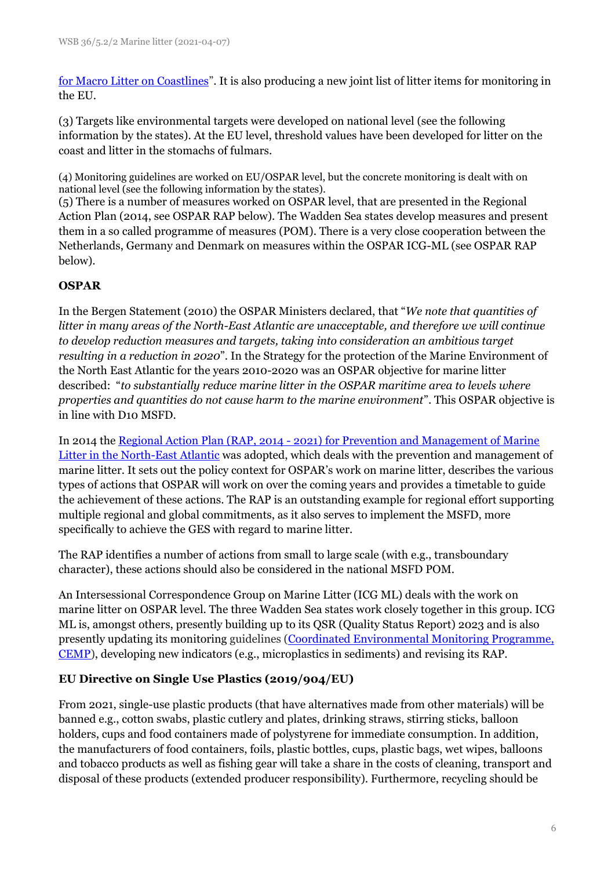[for Macro Litter on Coastlines](https://publications.jrc.ec.europa.eu/repository/bitstream/JRC121707/coastline_litter_threshold_value_report_14_9_2020_final.pdf)". It is also producing a new joint list of litter items for monitoring in the EU.

(3) Targets like environmental targets were developed on national level (see the following information by the states). At the EU level, threshold values have been developed for litter on the coast and litter in the stomachs of fulmars.

(4) Monitoring guidelines are worked on EU/OSPAR level, but the concrete monitoring is dealt with on national level (see the following information by the states).

(5) There is a number of measures worked on OSPAR level, that are presented in the Regional Action Plan (2014, see OSPAR RAP below). The Wadden Sea states develop measures and present them in a so called programme of measures (POM). There is a very close cooperation between the Netherlands, Germany and Denmark on measures within the OSPAR ICG-ML (see OSPAR RAP below).

## **OSPAR**

In the Bergen Statement (2010) the OSPAR Ministers declared, that "*We note that quantities of litter in many areas of the North-East Atlantic are unacceptable, and therefore we will continue to develop reduction measures and targets, taking into consideration an ambitious target resulting in a reduction in 2020*". In the Strategy for the protection of the Marine Environment of the North East Atlantic for the years 2010-2020 was an OSPAR objective for marine litter described: "*to substantially reduce marine litter in the OSPAR maritime area to levels where properties and quantities do not cause harm to the marine environment*". This OSPAR objective is in line with D10 MSFD.

In 2014 the Regional Action Plan (RAP, 2014 - [2021\) for Prevention and Management of Marine](https://www.ospar.org/work-areas/eiha/marine-litter/regional-action-plan)  [Litter in the North-East Atlantic](https://www.ospar.org/work-areas/eiha/marine-litter/regional-action-plan) was adopted, which deals with the prevention and management of marine litter. It sets out the policy context for OSPAR's work on marine litter, describes the various types of actions that OSPAR will work on over the coming years and provides a timetable to guide the achievement of these actions. The RAP is an outstanding example for regional effort supporting multiple regional and global commitments, as it also serves to implement the MSFD, more specifically to achieve the GES with regard to marine litter.

The RAP identifies a number of actions from small to large scale (with e.g., transboundary character), these actions should also be considered in the national MSFD POM.

An Intersessional Correspondence Group on Marine Litter (ICG ML) deals with the work on marine litter on OSPAR level. The three Wadden Sea states work closely together in this group. ICG ML is, amongst others, presently building up to its QSR (Quality Status Report) 2023 and is also presently updating its monitoring guidelines [\(Coordinated Environmental Monitoring Programme,](https://oap.ospar.org/en/ospar-monitoring-programmes/cemp/)  [CEMP\)](https://oap.ospar.org/en/ospar-monitoring-programmes/cemp/), developing new indicators (e.g., microplastics in sediments) and revising its RAP.

#### **EU Directive on Single Use Plastics (2019/904/EU)**

From 2021, single-use plastic products (that have alternatives made from other materials) will be banned e.g., cotton swabs, plastic cutlery and plates, drinking straws, stirring sticks, balloon holders, cups and food containers made of polystyrene for immediate consumption. In addition, the manufacturers of food containers, foils, plastic bottles, cups, plastic bags, wet wipes, balloons and tobacco products as well as fishing gear will take a share in the costs of cleaning, transport and disposal of these products (extended producer responsibility). Furthermore, recycling should be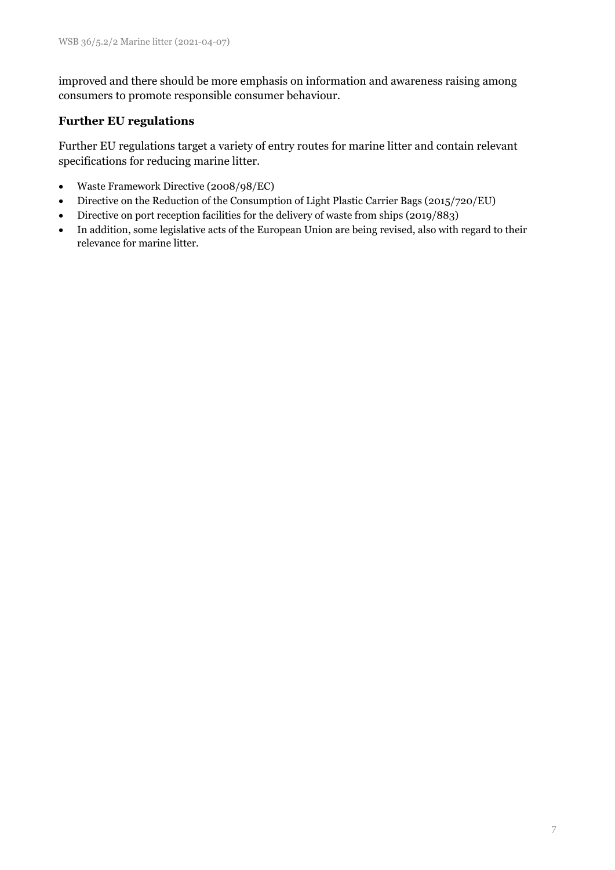improved and there should be more emphasis on information and awareness raising among consumers to promote responsible consumer behaviour.

#### **Further EU regulations**

Further EU regulations target a variety of entry routes for marine litter and contain relevant specifications for reducing marine litter.

- Waste Framework Directive (2008/98/EC)
- Directive on the Reduction of the Consumption of Light Plastic Carrier Bags (2015/720/EU)
- Directive on port reception facilities for the delivery of waste from ships (2019/883)
- In addition, some legislative acts of the European Union are being revised, also with regard to their relevance for marine litter.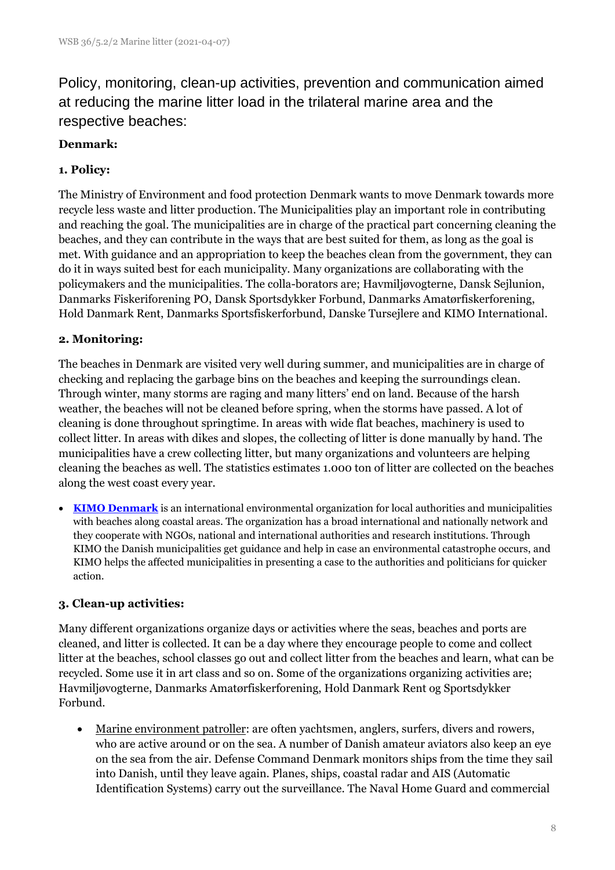Policy, monitoring, clean-up activities, prevention and communication aimed at reducing the marine litter load in the trilateral marine area and the respective beaches:

## **Denmark:**

## **1. Policy:**

The Ministry of Environment and food protection Denmark wants to move Denmark towards more recycle less waste and litter production. The Municipalities play an important role in contributing and reaching the goal. The municipalities are in charge of the practical part concerning cleaning the beaches, and they can contribute in the ways that are best suited for them, as long as the goal is met. With guidance and an appropriation to keep the beaches clean from the government, they can do it in ways suited best for each municipality. Many organizations are collaborating with the policymakers and the municipalities. The colla-borators are; Havmiljøvogterne, Dansk Sejlunion, Danmarks Fiskeriforening PO, Dansk Sportsdykker Forbund, Danmarks Amatørfiskerforening, Hold Danmark Rent, Danmarks Sportsfiskerforbund, Danske Tursejlere and KIMO International.

## **2. Monitoring:**

The beaches in Denmark are visited very well during summer, and municipalities are in charge of checking and replacing the garbage bins on the beaches and keeping the surroundings clean. Through winter, many storms are raging and many litters' end on land. Because of the harsh weather, the beaches will not be cleaned before spring, when the storms have passed. A lot of cleaning is done throughout springtime. In areas with wide flat beaches, machinery is used to collect litter. In areas with dikes and slopes, the collecting of litter is done manually by hand. The municipalities have a crew collecting litter, but many organizations and volunteers are helping cleaning the beaches as well. The statistics estimates 1.000 ton of litter are collected on the beaches along the west coast every year.

• **[KIMO Denmark](https://www.kimointernational.org/action-areas/plastic-pollution-and-marine-litter/)** is an international environmental organization for local authorities and municipalities with beaches along coastal areas. The organization has a broad international and nationally network and they cooperate with NGOs, national and international authorities and research institutions. Through KIMO the Danish municipalities get guidance and help in case an environmental catastrophe occurs, and KIMO helps the affected municipalities in presenting a case to the authorities and politicians for quicker action.

## **3. Clean-up activities:**

Many different organizations organize days or activities where the seas, beaches and ports are cleaned, and litter is collected. It can be a day where they encourage people to come and collect litter at the beaches, school classes go out and collect litter from the beaches and learn, what can be recycled. Some use it in art class and so on. Some of the organizations organizing activities are; Havmiljøvogterne, Danmarks Amatørfiskerforening, Hold Danmark Rent og Sportsdykker Forbund.

• Marine environment patroller: are often yachtsmen, anglers, surfers, divers and rowers, who are active around or on the sea. A number of Danish amateur aviators also keep an eye on the sea from the air. Defense Command Denmark monitors ships from the time they sail into Danish, until they leave again. Planes, ships, coastal radar and AIS (Automatic Identification Systems) carry out the surveillance. The Naval Home Guard and commercial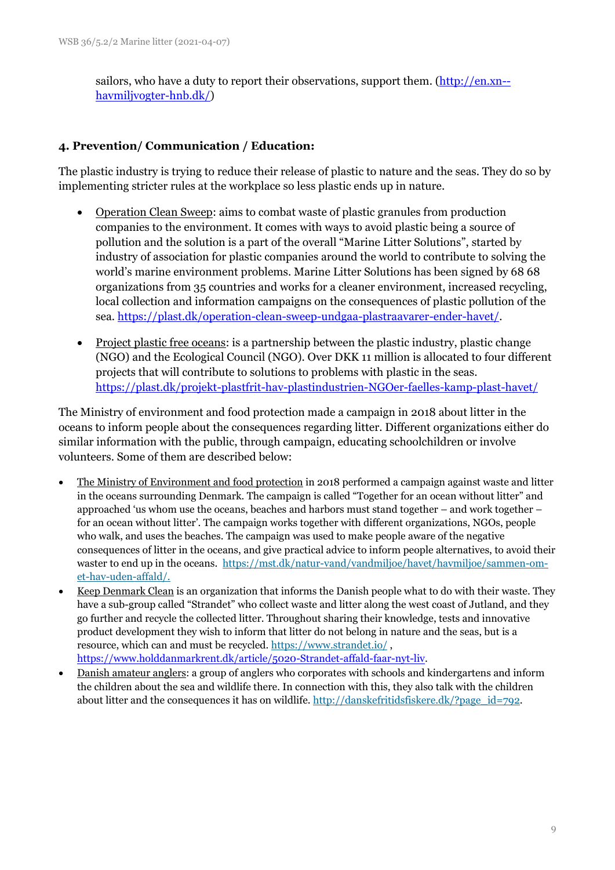sailors, who have a duty to report their observations, support them. [\(http://en.xn-](http://en.havmiljøvogter.dk/) [havmiljvogter-hnb.dk/\)](http://en.havmiljøvogter.dk/)

## **4. Prevention/ Communication / Education:**

The plastic industry is trying to reduce their release of plastic to nature and the seas. They do so by implementing stricter rules at the workplace so less plastic ends up in nature.

- Operation Clean Sweep: aims to combat waste of plastic granules from production companies to the environment. It comes with ways to avoid plastic being a source of pollution and the solution is a part of the overall "Marine Litter Solutions", started by industry of association for plastic companies around the world to contribute to solving the world's marine environment problems. Marine Litter Solutions has been signed by 68 68 organizations from 35 countries and works for a cleaner environment, increased recycling, local collection and information campaigns on the consequences of plastic pollution of the sea. [https://plast.dk/operation-clean-sweep-undgaa-plastraavarer-ender-havet/.](https://plast.dk/operation-clean-sweep-undgaa-plastraavarer-ender-havet/)
- Project plastic free oceans: is a partnership between the plastic industry, plastic change (NGO) and the Ecological Council (NGO). Over DKK 11 million is allocated to four different projects that will contribute to solutions to problems with plastic in the seas. [https://plast.dk/projekt-plastfrit-hav-plastindustrien-NGOer-faelles-kamp-plast-havet/](https://plast.dk/projekt-plastfrit-hav-plastindustrien-ngoer-faelles-kamp-plast-havet/)

The Ministry of environment and food protection made a campaign in 2018 about litter in the oceans to inform people about the consequences regarding litter. Different organizations either do similar information with the public, through campaign, educating schoolchildren or involve volunteers. Some of them are described below:

- The Ministry of Environment and food protection in 2018 performed a campaign against waste and litter in the oceans surrounding Denmark. The campaign is called "Together for an ocean without litter" and approached 'us whom use the oceans, beaches and harbors must stand together – and work together – for an ocean without litter'. The campaign works together with different organizations, NGOs, people who walk, and uses the beaches. The campaign was used to make people aware of the negative consequences of litter in the oceans, and give practical advice to inform people alternatives, to avoid their waster to end up in the oceans. [https://mst.dk/natur-vand/vandmiljoe/havet/havmiljoe/sammen-om](https://mst.dk/natur-vand/vandmiljoe/havet/havmiljoe/sammen-om-et-hav-uden-affald/)[et-hav-uden-affald/.](https://mst.dk/natur-vand/vandmiljoe/havet/havmiljoe/sammen-om-et-hav-uden-affald/)
- Keep Denmark Clean is an organization that informs the Danish people what to do with their waste. They have a sub-group called "Strandet" who collect waste and litter along the west coast of Jutland, and they go further and recycle the collected litter. Throughout sharing their knowledge, tests and innovative product development they wish to inform that litter do not belong in nature and the seas, but is a resource, which can and must be recycled[. https://www.strandet.io/](https://www.strandet.io/) , [https://www.holddanmarkrent.dk/article/5020-Strandet-affald-faar-nyt-liv.](https://www.holddanmarkrent.dk/article/5020-Strandet-affald-faar-nyt-liv)
- Danish amateur anglers: a group of anglers who corporates with schools and kindergartens and inform the children about the sea and wildlife there. In connection with this, they also talk with the children about litter and the consequences it has on wildlife. [http://danskefritidsfiskere.dk/?page\\_id=792.](http://danskefritidsfiskere.dk/?page_id=792)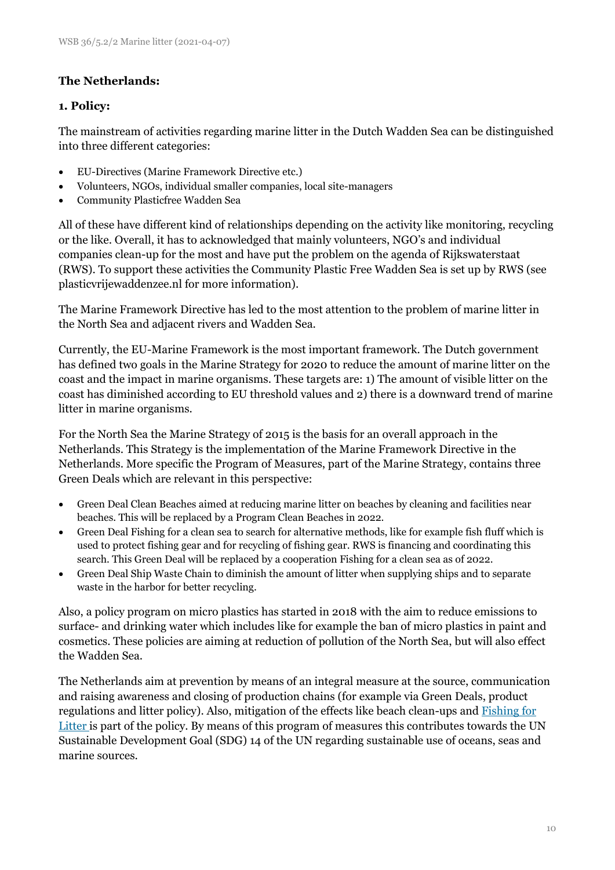## **The Netherlands:**

#### **1. Policy:**

The mainstream of activities regarding marine litter in the Dutch Wadden Sea can be distinguished into three different categories:

- EU-Directives (Marine Framework Directive etc.)
- Volunteers, NGOs, individual smaller companies, local site-managers
- Community Plasticfree Wadden Sea

All of these have different kind of relationships depending on the activity like monitoring, recycling or the like. Overall, it has to acknowledged that mainly volunteers, NGO's and individual companies clean-up for the most and have put the problem on the agenda of Rijkswaterstaat (RWS). To support these activities the Community Plastic Free Wadden Sea is set up by RWS (see plasticvrijewaddenzee.nl for more information).

The Marine Framework Directive has led to the most attention to the problem of marine litter in the North Sea and adjacent rivers and Wadden Sea.

Currently, the EU-Marine Framework is the most important framework. The Dutch government has defined two goals in the Marine Strategy for 2020 to reduce the amount of marine litter on the coast and the impact in marine organisms. These targets are: 1) The amount of visible litter on the coast has diminished according to EU threshold values and 2) there is a downward trend of marine litter in marine organisms.

For the North Sea the Marine Strategy of 2015 is the basis for an overall approach in the Netherlands. This Strategy is the implementation of the Marine Framework Directive in the Netherlands. More specific the Program of Measures, part of the Marine Strategy, contains three Green Deals which are relevant in this perspective:

- Green Deal Clean Beaches aimed at reducing marine litter on beaches by cleaning and facilities near beaches. This will be replaced by a Program Clean Beaches in 2022.
- Green Deal Fishing for a clean sea to search for alternative methods, like for example fish fluff which is used to protect fishing gear and for recycling of fishing gear. RWS is financing and coordinating this search. This Green Deal will be replaced by a cooperation Fishing for a clean sea as of 2022.
- Green Deal Ship Waste Chain to diminish the amount of litter when supplying ships and to separate waste in the harbor for better recycling.

Also, a policy program on micro plastics has started in 2018 with the aim to reduce emissions to surface- and drinking water which includes like for example the ban of micro plastics in paint and cosmetics. These policies are aiming at reduction of pollution of the North Sea, but will also effect the Wadden Sea.

The Netherlands aim at prevention by means of an integral measure at the source, communication and raising awareness and closing of production chains (for example via Green Deals, product regulations and litter policy). Also, mitigation of the effects like beach clean-ups and [Fishing for](http://www.kimonederlandbelgie.org/fishing-for-litter/)  [Litter i](http://www.kimonederlandbelgie.org/fishing-for-litter/)s part of the policy. By means of this program of measures this contributes towards the UN Sustainable Development Goal (SDG) 14 of the UN regarding sustainable use of oceans, seas and marine sources.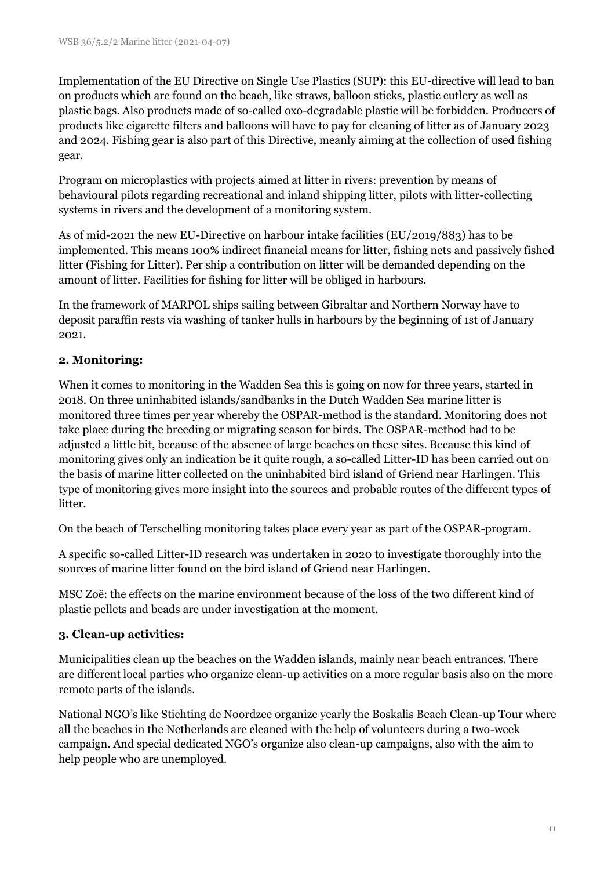Implementation of the EU Directive on Single Use Plastics (SUP): this EU-directive will lead to ban on products which are found on the beach, like straws, balloon sticks, plastic cutlery as well as plastic bags. Also products made of so-called oxo-degradable plastic will be forbidden. Producers of products like cigarette filters and balloons will have to pay for cleaning of litter as of January 2023 and 2024. Fishing gear is also part of this Directive, meanly aiming at the collection of used fishing gear.

Program on microplastics with projects aimed at litter in rivers: prevention by means of behavioural pilots regarding recreational and inland shipping litter, pilots with litter-collecting systems in rivers and the development of a monitoring system.

As of mid-2021 the new EU-Directive on harbour intake facilities (EU/2019/883) has to be implemented. This means 100% indirect financial means for litter, fishing nets and passively fished litter (Fishing for Litter). Per ship a contribution on litter will be demanded depending on the amount of litter. Facilities for fishing for litter will be obliged in harbours.

In the framework of MARPOL ships sailing between Gibraltar and Northern Norway have to deposit paraffin rests via washing of tanker hulls in harbours by the beginning of 1st of January 2021.

## **2. Monitoring:**

When it comes to monitoring in the Wadden Sea this is going on now for three years, started in 2018. On three uninhabited islands/sandbanks in the Dutch Wadden Sea marine litter is monitored three times per year whereby the OSPAR-method is the standard. Monitoring does not take place during the breeding or migrating season for birds. The OSPAR-method had to be adjusted a little bit, because of the absence of large beaches on these sites. Because this kind of monitoring gives only an indication be it quite rough, a so-called Litter-ID has been carried out on the basis of marine litter collected on the uninhabited bird island of Griend near Harlingen. This type of monitoring gives more insight into the sources and probable routes of the different types of litter.

On the beach of Terschelling monitoring takes place every year as part of the OSPAR-program.

A specific so-called Litter-ID research was undertaken in 2020 to investigate thoroughly into the sources of marine litter found on the bird island of Griend near Harlingen.

MSC Zoë: the effects on the marine environment because of the loss of the two different kind of plastic pellets and beads are under investigation at the moment.

## **3. Clean-up activities:**

Municipalities clean up the beaches on the Wadden islands, mainly near beach entrances. There are different local parties who organize clean-up activities on a more regular basis also on the more remote parts of the islands.

National NGO's like Stichting de Noordzee organize yearly the Boskalis Beach Clean-up Tour where all the beaches in the Netherlands are cleaned with the help of volunteers during a two-week campaign. And special dedicated NGO's organize also clean-up campaigns, also with the aim to help people who are unemployed.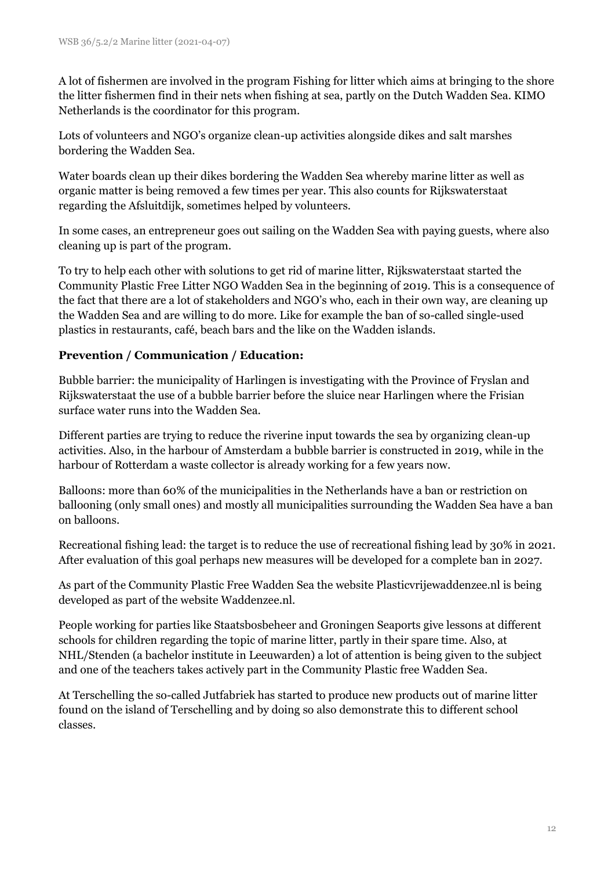A lot of fishermen are involved in the program Fishing for litter which aims at bringing to the shore the litter fishermen find in their nets when fishing at sea, partly on the Dutch Wadden Sea. KIMO Netherlands is the coordinator for this program.

Lots of volunteers and NGO's organize clean-up activities alongside dikes and salt marshes bordering the Wadden Sea.

Water boards clean up their dikes bordering the Wadden Sea whereby marine litter as well as organic matter is being removed a few times per year. This also counts for Rijkswaterstaat regarding the Afsluitdijk, sometimes helped by volunteers.

In some cases, an entrepreneur goes out sailing on the Wadden Sea with paying guests, where also cleaning up is part of the program.

To try to help each other with solutions to get rid of marine litter, Rijkswaterstaat started the Community Plastic Free Litter NGO Wadden Sea in the beginning of 2019. This is a consequence of the fact that there are a lot of stakeholders and NGO's who, each in their own way, are cleaning up the Wadden Sea and are willing to do more. Like for example the ban of so-called single-used plastics in restaurants, café, beach bars and the like on the Wadden islands.

## **Prevention / Communication / Education:**

Bubble barrier: the municipality of Harlingen is investigating with the Province of Fryslan and Rijkswaterstaat the use of a bubble barrier before the sluice near Harlingen where the Frisian surface water runs into the Wadden Sea.

Different parties are trying to reduce the riverine input towards the sea by organizing clean-up activities. Also, in the harbour of Amsterdam a bubble barrier is constructed in 2019, while in the harbour of Rotterdam a waste collector is already working for a few years now.

Balloons: more than 60% of the municipalities in the Netherlands have a ban or restriction on ballooning (only small ones) and mostly all municipalities surrounding the Wadden Sea have a ban on balloons.

Recreational fishing lead: the target is to reduce the use of recreational fishing lead by 30% in 2021. After evaluation of this goal perhaps new measures will be developed for a complete ban in 2027.

As part of the Community Plastic Free Wadden Sea the website Plasticvrijewaddenzee.nl is being developed as part of the website Waddenzee.nl.

People working for parties like Staatsbosbeheer and Groningen Seaports give lessons at different schools for children regarding the topic of marine litter, partly in their spare time. Also, at NHL/Stenden (a bachelor institute in Leeuwarden) a lot of attention is being given to the subject and one of the teachers takes actively part in the Community Plastic free Wadden Sea.

At Terschelling the so-called Jutfabriek has started to produce new products out of marine litter found on the island of Terschelling and by doing so also demonstrate this to different school classes.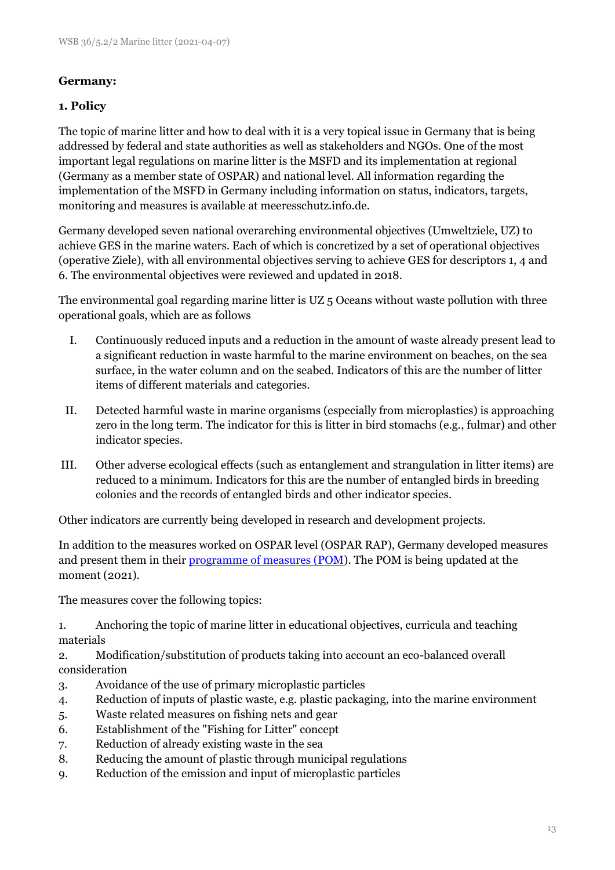## **Germany:**

## **1. Policy**

The topic of marine litter and how to deal with it is a very topical issue in Germany that is being addressed by federal and state authorities as well as stakeholders and NGOs. One of the most important legal regulations on marine litter is the MSFD and its implementation at regional (Germany as a member state of OSPAR) and national level. All information regarding the implementation of the MSFD in Germany including information on status, indicators, targets, monitoring and measures is available at meeresschutz.info.de.

Germany developed seven national overarching environmental objectives (Umweltziele, UZ) to achieve GES in the marine waters. Each of which is concretized by a set of operational objectives (operative Ziele), with all environmental objectives serving to achieve GES for descriptors 1, 4 and 6. The environmental objectives were reviewed and updated in 2018.

The environmental goal regarding marine litter is UZ 5 Oceans without waste pollution with three operational goals, which are as follows

- I. Continuously reduced inputs and a reduction in the amount of waste already present lead to a significant reduction in waste harmful to the marine environment on beaches, on the sea surface, in the water column and on the seabed. Indicators of this are the number of litter items of different materials and categories.
- II. Detected harmful waste in marine organisms (especially from microplastics) is approaching zero in the long term. The indicator for this is litter in bird stomachs (e.g., fulmar) and other indicator species.
- III. Other adverse ecological effects (such as entanglement and strangulation in litter items) are reduced to a minimum. Indicators for this are the number of entangled birds in breeding colonies and the records of entangled birds and other indicator species.

Other indicators are currently being developed in research and development projects.

In addition to the measures worked on OSPAR level (OSPAR RAP), Germany developed measures and present them in their [programme of measures \(POM\)](https://www.meeresschutz.info/berichte-art13.html). The POM is being updated at the moment (2021).

The measures cover the following topics:

1. Anchoring the topic of marine litter in educational objectives, curricula and teaching materials

2. Modification/substitution of products taking into account an eco-balanced overall consideration

- 3. Avoidance of the use of primary microplastic particles
- 4. Reduction of inputs of plastic waste, e.g. plastic packaging, into the marine environment
- 5. Waste related measures on fishing nets and gear
- 6. Establishment of the "Fishing for Litter" concept
- 7. Reduction of already existing waste in the sea
- 8. Reducing the amount of plastic through municipal regulations
- 9. Reduction of the emission and input of microplastic particles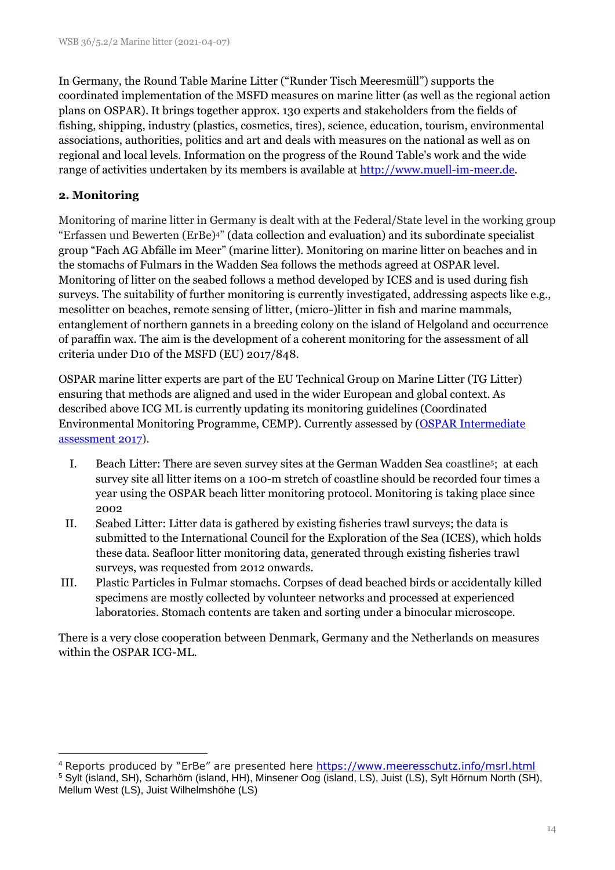In Germany, the Round Table Marine Litter ("Runder Tisch Meeresmüll") supports the coordinated implementation of the MSFD measures on marine litter (as well as the regional action plans on OSPAR). It brings together approx. 130 experts and stakeholders from the fields of fishing, shipping, industry (plastics, cosmetics, tires), science, education, tourism, environmental associations, authorities, politics and art and deals with measures on the national as well as on regional and local levels. Information on the progress of the Round Table's work and the wide range of activities undertaken by its members is available at [http://www.muell-im-meer.de.](http://www.muell-im-meer.de/)

#### **2. Monitoring**

Monitoring of marine litter in Germany is dealt with at the Federal/State level in the working group "Erfassen und Bewerten (ErBe)4" (data collection and evaluation) and its subordinate specialist group "Fach AG Abfälle im Meer" (marine litter). Monitoring on marine litter on beaches and in the stomachs of Fulmars in the Wadden Sea follows the methods agreed at OSPAR level. Monitoring of litter on the seabed follows a method developed by ICES and is used during fish surveys. The suitability of further monitoring is currently investigated, addressing aspects like e.g., mesolitter on beaches, remote sensing of litter, (micro-)litter in fish and marine mammals, entanglement of northern gannets in a breeding colony on the island of Helgoland and occurrence of paraffin wax. The aim is the development of a coherent monitoring for the assessment of all criteria under D10 of the MSFD (EU) 2017/848.

OSPAR marine litter experts are part of the EU Technical Group on Marine Litter (TG Litter) ensuring that methods are aligned and used in the wider European and global context. As described above ICG ML is currently updating its monitoring guidelines (Coordinated Environmental Monitoring Programme, CEMP). Currently assessed by [\(OSPAR Intermediate](https://oap.ospar.org/en/ospar-assessments/intermediate-assessment-2017/pressures-human-activities/marine-litter/)  [assessment 2017\)](https://oap.ospar.org/en/ospar-assessments/intermediate-assessment-2017/pressures-human-activities/marine-litter/).

- I. Beach Litter: There are seven survey sites at the German Wadden Sea coastline<sup>5</sup>; at each survey site all litter items on a 100-m stretch of coastline should be recorded four times a year using the OSPAR beach litter monitoring protocol. Monitoring is taking place since 2002
- II. Seabed Litter: Litter data is gathered by existing fisheries trawl surveys; the data is submitted to the International Council for the Exploration of the Sea (ICES), which holds these data. Seafloor litter monitoring data, generated through existing fisheries trawl surveys, was requested from 2012 onwards.
- III. Plastic Particles in Fulmar stomachs. Corpses of dead beached birds or accidentally killed specimens are mostly collected by volunteer networks and processed at experienced laboratories. Stomach contents are taken and sorting under a binocular microscope.

There is a very close cooperation between Denmark, Germany and the Netherlands on measures within the OSPAR ICG-ML.

<sup>&</sup>lt;sup>4</sup> Reports produced by "ErBe" are presented here <https://www.meeresschutz.info/msrl.html>

<sup>5</sup> Sylt (island, SH), Scharhörn (island, HH), Minsener Oog (island, LS), Juist (LS), Sylt Hörnum North (SH), Mellum West (LS), Juist Wilhelmshöhe (LS)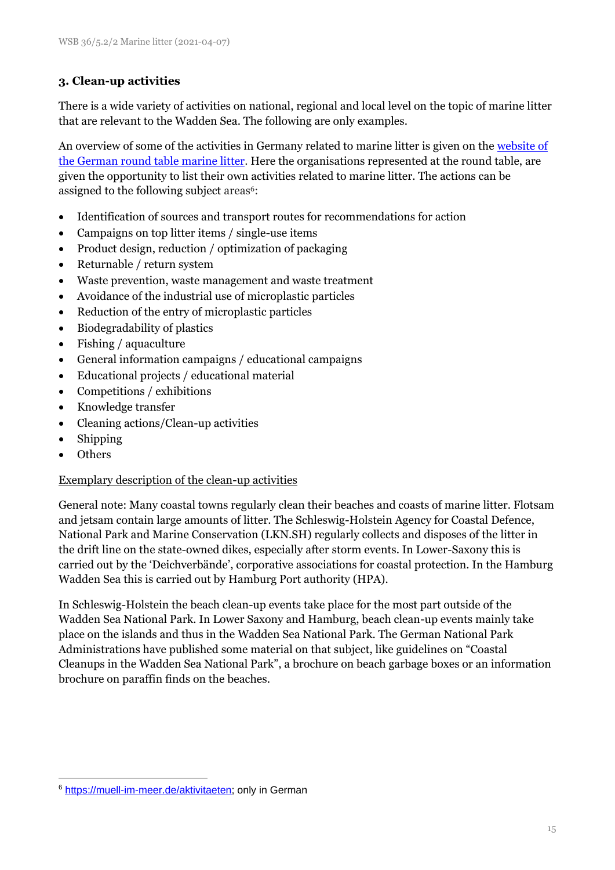## **3. Clean-up activities**

There is a wide variety of activities on national, regional and local level on the topic of marine litter that are relevant to the Wadden Sea. The following are only examples.

An overview of some of the activities in Germany related to marine litter is given on the website of [the German round table marine litter.](https://muell-im-meer.de/aktivitaeten) Here the organisations represented at the round table, are given the opportunity to list their own activities related to marine litter. The actions can be assigned to the following subject areas<sup>6</sup>:

- Identification of sources and transport routes for recommendations for action
- Campaigns on top litter items / single-use items
- Product design, reduction / optimization of packaging
- Returnable / return system
- Waste prevention, waste management and waste treatment
- Avoidance of the industrial use of microplastic particles
- Reduction of the entry of microplastic particles
- Biodegradability of plastics
- Fishing / aquaculture
- General information campaigns / educational campaigns
- Educational projects / educational material
- Competitions / exhibitions
- Knowledge transfer
- Cleaning actions/Clean-up activities
- Shipping
- Others

#### Exemplary description of the clean-up activities

General note: Many coastal towns regularly clean their beaches and coasts of marine litter. Flotsam and jetsam contain large amounts of litter. The Schleswig-Holstein Agency for Coastal Defence, National Park and Marine Conservation (LKN.SH) regularly collects and disposes of the litter in the drift line on the state-owned dikes, especially after storm events. In Lower-Saxony this is carried out by the 'Deichverbände', corporative associations for coastal protection. In the Hamburg Wadden Sea this is carried out by Hamburg Port authority (HPA).

In Schleswig-Holstein the beach clean-up events take place for the most part outside of the Wadden Sea National Park. In Lower Saxony and Hamburg, beach clean-up events mainly take place on the islands and thus in the Wadden Sea National Park. The German National Park Administrations have published some material on that subject, like guidelines on "Coastal Cleanups in the Wadden Sea National Park", a brochure on beach garbage boxes or an information brochure on paraffin finds on the beaches.

<sup>6</sup> [https://muell-im-meer.de/aktivitaeten;](https://muell-im-meer.de/aktivitaeten) only in German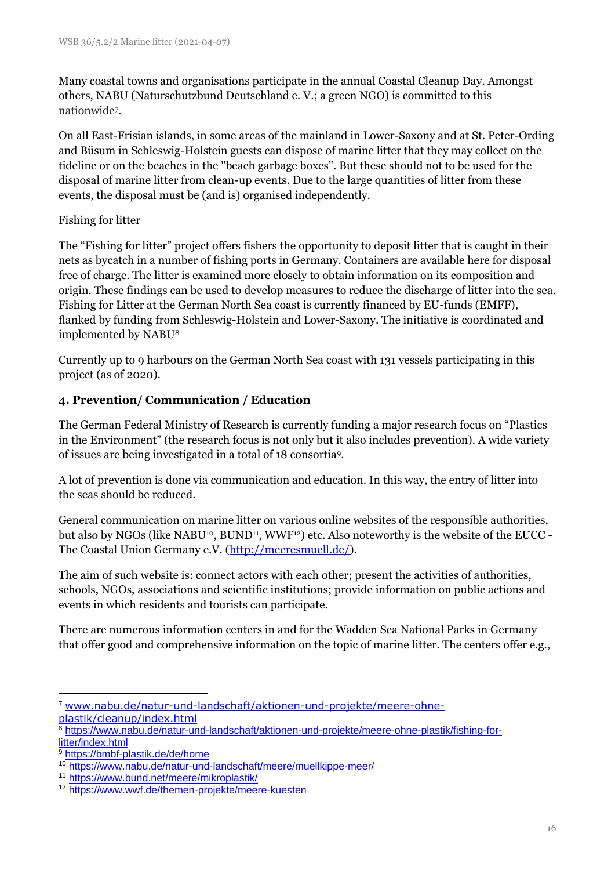Many coastal towns and organisations participate in the annual Coastal Cleanup Day. Amongst others, NABU (Naturschutzbund Deutschland e. V.; a green NGO) is committed to this nationwide<sup>7</sup> .

On all East-Frisian islands, in some areas of the mainland in Lower-Saxony and at St. Peter-Ording and Büsum in Schleswig-Holstein guests can dispose of marine litter that they may collect on the tideline or on the beaches in the "beach garbage boxes". But these should not to be used for the disposal of marine litter from clean-up events. Due to the large quantities of litter from these events, the disposal must be (and is) organised independently.

## Fishing for litter

The "Fishing for litter" project offers fishers the opportunity to deposit litter that is caught in their nets as bycatch in a number of fishing ports in Germany. Containers are available here for disposal free of charge. The litter is examined more closely to obtain information on its composition and origin. These findings can be used to develop measures to reduce the discharge of litter into the sea. Fishing for Litter at the German North Sea coast is currently financed by EU-funds (EMFF), flanked by funding from Schleswig-Holstein and Lower-Saxony. The initiative is coordinated and implemented by NABU<sup>8</sup>

Currently up to 9 harbours on the German North Sea coast with 131 vessels participating in this project (as of 2020).

## **4. Prevention/ Communication / Education**

The German Federal Ministry of Research is currently funding a major research focus on "Plastics in the Environment" (the research focus is not only but it also includes prevention). A wide variety of issues are being investigated in a total of 18 consortia<sup>9</sup> .

A lot of prevention is done via communication and education. In this way, the entry of litter into the seas should be reduced.

General communication on marine litter on various online websites of the responsible authorities, but also by NGOs (like NABU<sup>10</sup>, BUND<sup>11</sup>, WWF<sup>12</sup>) etc. Also noteworthy is the website of the EUCC -The Coastal Union Germany e.V. [\(http://meeresmuell.de/\)](http://meeresmuell.de/).

The aim of such website is: connect actors with each other; present the activities of authorities, schools, NGOs, associations and scientific institutions; provide information on public actions and events in which residents and tourists can participate.

There are numerous information centers in and for the Wadden Sea National Parks in Germany that offer good and comprehensive information on the topic of marine litter. The centers offer e.g.,

<sup>7</sup> [www.nabu.de/natur-und-landschaft/aktionen-und-projekte/meere-ohne](http://www.nabu.de/natur-und-landschaft/aktionen-und-projekte/meere-ohne-plastik/cleanup/index.html)[plastik/cleanup/index.html](http://www.nabu.de/natur-und-landschaft/aktionen-und-projekte/meere-ohne-plastik/cleanup/index.html)

<sup>8</sup> [https://www.nabu.de/natur-und-landschaft/aktionen-und-projekte/meere-ohne-plastik/fishing-for](https://www.nabu.de/natur-und-landschaft/aktionen-und-projekte/meere-ohne-plastik/fishing-for-litter/index.html)[litter/index.html](https://www.nabu.de/natur-und-landschaft/aktionen-und-projekte/meere-ohne-plastik/fishing-for-litter/index.html)

<sup>9</sup> <https://bmbf-plastik.de/de/home>

<sup>10</sup> <https://www.nabu.de/natur-und-landschaft/meere/muellkippe-meer/>

<sup>11</sup> <https://www.bund.net/meere/mikroplastik/>

<sup>12</sup> <https://www.wwf.de/themen-projekte/meere-kuesten>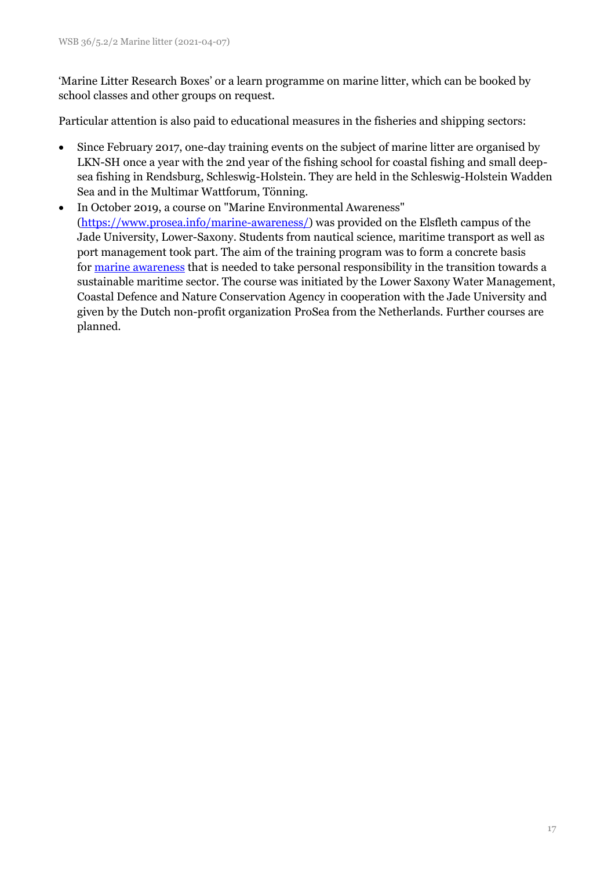'Marine Litter Research Boxes' or a learn programme on marine litter, which can be booked by school classes and other groups on request.

Particular attention is also paid to educational measures in the fisheries and shipping sectors:

- Since February 2017, one-day training events on the subject of marine litter are organised by LKN-SH once a year with the 2nd year of the fishing school for coastal fishing and small deepsea fishing in Rendsburg, Schleswig-Holstein. They are held in the Schleswig-Holstein Wadden Sea and in the Multimar Wattforum, Tönning.
- In October 2019, a course on "Marine Environmental Awareness" [\(https://www.prosea.info/marine-awareness/\)](https://www.prosea.info/marine-awareness/) was provided on the Elsfleth campus of the Jade University, Lower-Saxony. Students from nautical science, maritime transport as well as port management took part. The aim of the training program was to form a concrete basis for [marine awareness](https://www.prosea.info/marine-awareness/) that is needed to take personal responsibility in the transition towards a sustainable maritime sector. The course was initiated by the Lower Saxony Water Management, Coastal Defence and Nature Conservation Agency in cooperation with the Jade University and given by the Dutch non-profit organization ProSea from the Netherlands. Further courses are planned.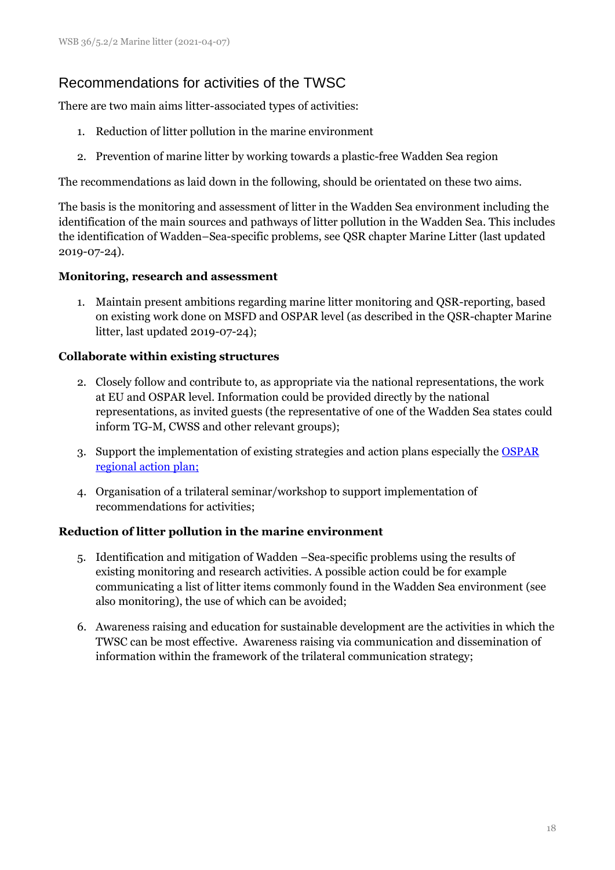# Recommendations for activities of the TWSC

There are two main aims litter-associated types of activities:

- 1. Reduction of litter pollution in the marine environment
- 2. Prevention of marine litter by working towards a plastic-free Wadden Sea region

The recommendations as laid down in the following, should be orientated on these two aims.

The basis is the monitoring and assessment of litter in the Wadden Sea environment including the identification of the main sources and pathways of litter pollution in the Wadden Sea. This includes the identification of Wadden–Sea-specific problems, see QSR chapter Marine Litter (last updated 2019-07-24).

#### **Monitoring, research and assessment**

1. Maintain present ambitions regarding marine litter monitoring and QSR-reporting, based on existing work done on MSFD and OSPAR level (as described in the QSR-chapter Marine litter, last updated 2019-07-24);

#### **Collaborate within existing structures**

- 2. Closely follow and contribute to, as appropriate via the national representations, the work at EU and OSPAR level. Information could be provided directly by the national representations, as invited guests (the representative of one of the Wadden Sea states could inform TG-M, CWSS and other relevant groups);
- 3. Support the implementation of existing strategies and action plans especially the [OSPAR](https://www.ospar.org/work-areas/eiha/marine-litter/regional-action-plan)  [regional action plan;](https://www.ospar.org/work-areas/eiha/marine-litter/regional-action-plan)
- 4. Organisation of a trilateral seminar/workshop to support implementation of recommendations for activities;

#### **Reduction of litter pollution in the marine environment**

- 5. Identification and mitigation of Wadden –Sea-specific problems using the results of existing monitoring and research activities. A possible action could be for example communicating a list of litter items commonly found in the Wadden Sea environment (see also monitoring), the use of which can be avoided;
- 6. Awareness raising and education for sustainable development are the activities in which the TWSC can be most effective. Awareness raising via communication and dissemination of information within the framework of the trilateral communication strategy;